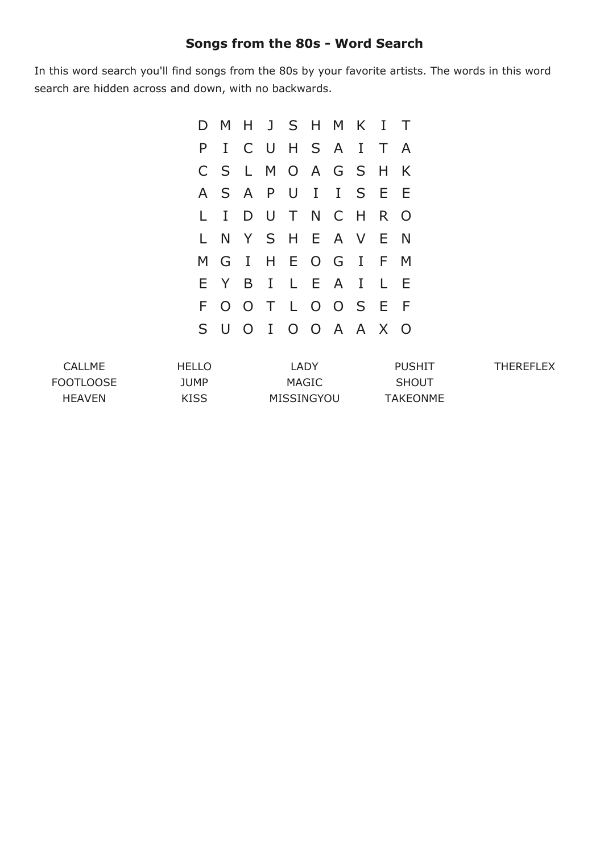## **Songs from the 80s Word Search**

In this word search you'll find songs from the 80s by your favorite artists. The words in this word search are hidden across and down, with no backwards.

|    |  |  | D M H J S H M K I T |    |              |
|----|--|--|---------------------|----|--------------|
| P. |  |  | I C U H S A I       | T. | <sup>A</sup> |
|    |  |  | C S L M O A G S     | H  | K            |
|    |  |  | A S A P U I I S E   |    | - E          |
|    |  |  | LIDUTNCH            |    | R O          |
|    |  |  | L N Y S H E A V E N |    |              |
|    |  |  | M G I H E O G I F M |    |              |
|    |  |  | EYBILEAI            | L. | Ε            |
|    |  |  | FOOTLOOSE           |    | - F          |
|    |  |  | S U O I O O A A X O |    |              |

| CALLME           | HELLO | LADY       | <b>PUSHIT</b> | <b>THEREFLEX</b> |
|------------------|-------|------------|---------------|------------------|
| <b>FOOTLOOSE</b> | JUMP  | MAGIC      | <b>SHOUT</b>  |                  |
| <b>HFAVFN</b>    | KISS  | MISSINGYOU | TAKEONME      |                  |